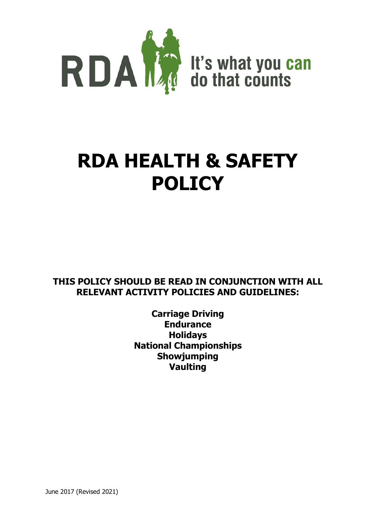

# **RDA HEALTH & SAFETY POLICY**

**THIS POLICY SHOULD BE READ IN CONJUNCTION WITH ALL RELEVANT ACTIVITY POLICIES AND GUIDELINES:**

> **Carriage Driving Endurance Holidays National Championships Showjumping Vaulting**

June 2017 (Revised 2021)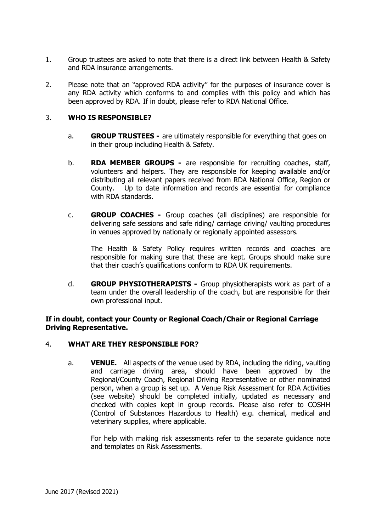- 1. Group trustees are asked to note that there is a direct link between Health & Safety and RDA insurance arrangements.
- 2. Please note that an "approved RDA activity" for the purposes of insurance cover is any RDA activity which conforms to and complies with this policy and which has been approved by RDA. If in doubt, please refer to RDA National Office.

# 3. **WHO IS RESPONSIBLE?**

- a. **GROUP TRUSTEES -** are ultimately responsible for everything that goes on in their group including Health & Safety.
- b. **RDA MEMBER GROUPS -** are responsible for recruiting coaches, staff, volunteers and helpers. They are responsible for keeping available and/or distributing all relevant papers received from RDA National Office, Region or County. Up to date information and records are essential for compliance with RDA standards.
- c. **GROUP COACHES -** Group coaches (all disciplines) are responsible for delivering safe sessions and safe riding/ carriage driving/ vaulting procedures in venues approved by nationally or regionally appointed assessors.

The Health & Safety Policy requires written records and coaches are responsible for making sure that these are kept. Groups should make sure that their coach's qualifications conform to RDA UK requirements.

d. **GROUP PHYSIOTHERAPISTS -** Group physiotherapists work as part of a team under the overall leadership of the coach, but are responsible for their own professional input.

## **If in doubt, contact your County or Regional Coach/Chair or Regional Carriage Driving Representative.**

# 4. **WHAT ARE THEY RESPONSIBLE FOR?**

a. **VENUE.** All aspects of the venue used by RDA, including the riding, vaulting and carriage driving area, should have been approved by the Regional/County Coach, Regional Driving Representative or other nominated person, when a group is set up. A Venue Risk Assessment for RDA Activities (see website) should be completed initially, updated as necessary and checked with copies kept in group records. Please also refer to COSHH (Control of Substances Hazardous to Health) e.g. chemical, medical and veterinary supplies, where applicable.

For help with making risk assessments refer to the separate guidance note and templates on Risk Assessments.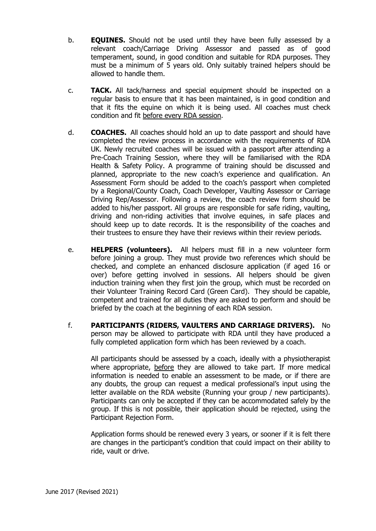- b. **EQUINES.** Should not be used until they have been fully assessed by a relevant coach/Carriage Driving Assessor and passed as of good temperament, sound, in good condition and suitable for RDA purposes. They must be a minimum of 5 years old. Only suitably trained helpers should be allowed to handle them.
- c. **TACK.** All tack/harness and special equipment should be inspected on a regular basis to ensure that it has been maintained, is in good condition and that it fits the equine on which it is being used. All coaches must check condition and fit before every RDA session.
- d. **COACHES.** All coaches should hold an up to date passport and should have completed the review process in accordance with the requirements of RDA UK. Newly recruited coaches will be issued with a passport after attending a Pre-Coach Training Session, where they will be familiarised with the RDA Health & Safety Policy. A programme of training should be discussed and planned, appropriate to the new coach's experience and qualification. An Assessment Form should be added to the coach's passport when completed by a Regional/County Coach, Coach Developer, Vaulting Assessor or Carriage Driving Rep/Assessor. Following a review, the coach review form should be added to his/her passport. All groups are responsible for safe riding, vaulting, driving and non-riding activities that involve equines, in safe places and should keep up to date records. It is the responsibility of the coaches and their trustees to ensure they have their reviews within their review periods.
- e. **HELPERS (volunteers).** All helpers must fill in a new volunteer form before joining a group. They must provide two references which should be checked, and complete an enhanced disclosure application (if aged 16 or over) before getting involved in sessions. All helpers should be given induction training when they first join the group, which must be recorded on their Volunteer Training Record Card (Green Card). They should be capable, competent and trained for all duties they are asked to perform and should be briefed by the coach at the beginning of each RDA session.
- f. **PARTICIPANTS (RIDERS, VAULTERS AND CARRIAGE DRIVERS).** No person may be allowed to participate with RDA until they have produced a fully completed application form which has been reviewed by a coach.

All participants should be assessed by a coach, ideally with a physiotherapist where appropriate, before they are allowed to take part. If more medical information is needed to enable an assessment to be made, or if there are any doubts, the group can request a medical professional's input using the letter available on the RDA website (Running your group / new participants). Participants can only be accepted if they can be accommodated safely by the group. If this is not possible, their application should be rejected, using the Participant Rejection Form.

Application forms should be renewed every 3 years, or sooner if it is felt there are changes in the participant's condition that could impact on their ability to ride, vault or drive.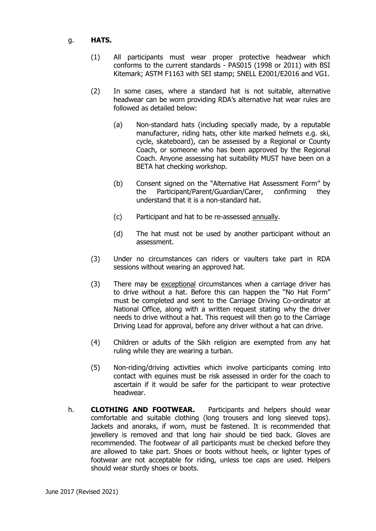## g. **HATS.**

- (1) All participants must wear proper protective headwear which conforms to the current standards - PAS015 (1998 or 2011) with BSI Kitemark; ASTM F1163 with SEI stamp; SNELL E2001/E2016 and VG1.
- (2) In some cases, where a standard hat is not suitable, alternative headwear can be worn providing RDA's alternative hat wear rules are followed as detailed below:
	- (a) Non-standard hats (including specially made, by a reputable manufacturer, riding hats, other kite marked helmets e.g. ski, cycle, skateboard), can be assessed by a Regional or County Coach, or someone who has been approved by the Regional Coach. Anyone assessing hat suitability MUST have been on a BETA hat checking workshop.
	- (b) Consent signed on the "Alternative Hat Assessment Form" by the Participant/Parent/Guardian/Carer, confirming they understand that it is a non-standard hat.
	- (c) Participant and hat to be re-assessed annually.
	- (d) The hat must not be used by another participant without an assessment.
- (3) Under no circumstances can riders or vaulters take part in RDA sessions without wearing an approved hat.
- (3) There may be exceptional circumstances when a carriage driver has to drive without a hat. Before this can happen the "No Hat Form" must be completed and sent to the Carriage Driving Co-ordinator at National Office, along with a written request stating why the driver needs to drive without a hat. This request will then go to the Carriage Driving Lead for approval, before any driver without a hat can drive.
- (4) Children or adults of the Sikh religion are exempted from any hat ruling while they are wearing a turban.
- (5) Non-riding/driving activities which involve participants coming into contact with equines must be risk assessed in order for the coach to ascertain if it would be safer for the participant to wear protective headwear.
- h. **CLOTHING AND FOOTWEAR.** Participants and helpers should wear comfortable and suitable clothing (long trousers and long sleeved tops). Jackets and anoraks, if worn, must be fastened. It is recommended that jewellery is removed and that long hair should be tied back. Gloves are recommended. The footwear of all participants must be checked before they are allowed to take part. Shoes or boots without heels, or lighter types of footwear are not acceptable for riding, unless toe caps are used. Helpers should wear sturdy shoes or boots.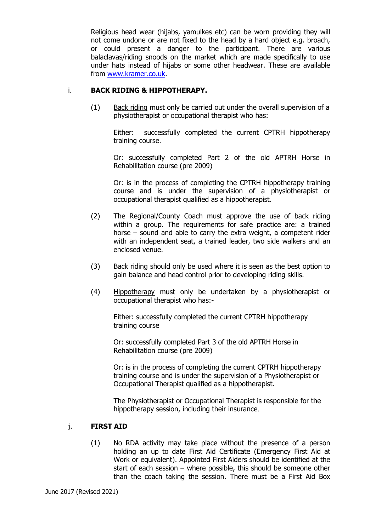Religious head wear (hijabs, yamulkes etc) can be worn providing they will not come undone or are not fixed to the head by a hard object e.g. broach, or could present a danger to the participant. There are various balaclavas/riding snoods on the market which are made specifically to use under hats instead of hijabs or some other headwear. These are available from [www.kramer.co.uk.](http://www.kramer.co.uk/)

# i. **BACK RIDING & HIPPOTHERAPY.**

(1) Back riding must only be carried out under the overall supervision of a physiotherapist or occupational therapist who has:

Either: successfully completed the current CPTRH hippotherapy training course.

Or: successfully completed Part 2 of the old APTRH Horse in Rehabilitation course (pre 2009)

Or: is in the process of completing the CPTRH hippotherapy training course and is under the supervision of a physiotherapist or occupational therapist qualified as a hippotherapist.

- (2) The Regional/County Coach must approve the use of back riding within a group. The requirements for safe practice are: a trained horse – sound and able to carry the extra weight, a competent rider with an independent seat, a trained leader, two side walkers and an enclosed venue.
- (3) Back riding should only be used where it is seen as the best option to gain balance and head control prior to developing riding skills.
- (4) Hippotherapy must only be undertaken by a physiotherapist or occupational therapist who has:-

Either: successfully completed the current CPTRH hippotherapy training course

Or: successfully completed Part 3 of the old APTRH Horse in Rehabilitation course (pre 2009)

Or: is in the process of completing the current CPTRH hippotherapy training course and is under the supervision of a Physiotherapist or Occupational Therapist qualified as a hippotherapist.

The Physiotherapist or Occupational Therapist is responsible for the hippotherapy session, including their insurance.

#### j. **FIRST AID**

(1) No RDA activity may take place without the presence of a person holding an up to date First Aid Certificate (Emergency First Aid at Work or equivalent). Appointed First Aiders should be identified at the start of each session – where possible, this should be someone other than the coach taking the session. There must be a First Aid Box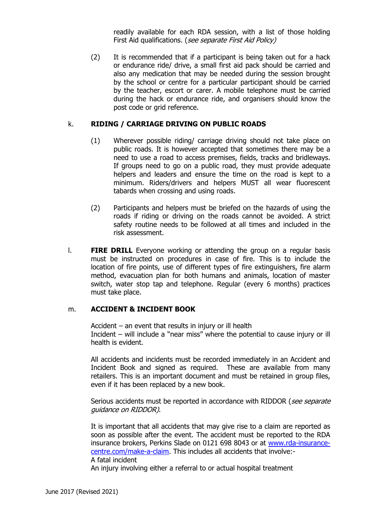readily available for each RDA session, with a list of those holding First Aid qualifications. (*see separate First Aid Policy*)

(2) It is recommended that if a participant is being taken out for a hack or endurance ride/ drive, a small first aid pack should be carried and also any medication that may be needed during the session brought by the school or centre for a particular participant should be carried by the teacher, escort or carer. A mobile telephone must be carried during the hack or endurance ride, and organisers should know the post code or grid reference.

#### k. **RIDING / CARRIAGE DRIVING ON PUBLIC ROADS**

- (1) Wherever possible riding/ carriage driving should not take place on public roads. It is however accepted that sometimes there may be a need to use a road to access premises, fields, tracks and bridleways. If groups need to go on a public road, they must provide adequate helpers and leaders and ensure the time on the road is kept to a minimum. Riders/drivers and helpers MUST all wear fluorescent tabards when crossing and using roads.
- (2) Participants and helpers must be briefed on the hazards of using the roads if riding or driving on the roads cannot be avoided. A strict safety routine needs to be followed at all times and included in the risk assessment.
- l. **FIRE DRILL** Everyone working or attending the group on a regular basis must be instructed on procedures in case of fire. This is to include the location of fire points, use of different types of fire extinguishers, fire alarm method, evacuation plan for both humans and animals, location of master switch, water stop tap and telephone. Regular (every 6 months) practices must take place.

## m. **ACCIDENT & INCIDENT BOOK**

Accident – an event that results in injury or ill health Incident – will include a "near miss" where the potential to cause injury or ill health is evident.

All accidents and incidents must be recorded immediately in an Accident and Incident Book and signed as required. These are available from many retailers. This is an important document and must be retained in group files, even if it has been replaced by a new book.

Serious accidents must be reported in accordance with RIDDOR (see separate guidance on RIDDOR).

It is important that all accidents that may give rise to a claim are reported as soon as possible after the event. The accident must be reported to the RDA insurance brokers, Perkins Slade on 0121 698 8043 or at [www.rda-insurance](http://www.rda-insurance-centre.com/make-a-claim)[centre.com/make-a-claim.](http://www.rda-insurance-centre.com/make-a-claim) This includes all accidents that involve:- A fatal incident

An injury involving either a referral to or actual hospital treatment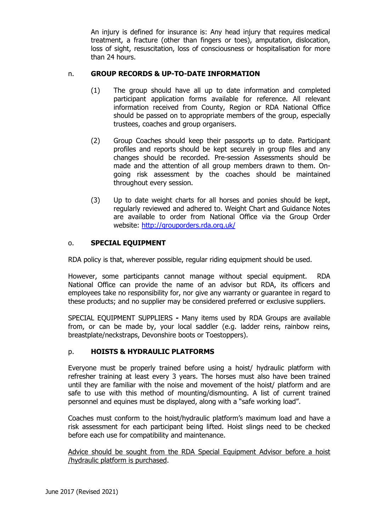An injury is defined for insurance is: Any head injury that requires medical treatment, a fracture (other than fingers or toes), amputation, dislocation, loss of sight, resuscitation, loss of consciousness or hospitalisation for more than 24 hours.

# n. **GROUP RECORDS & UP-TO-DATE INFORMATION**

- (1) The group should have all up to date information and completed participant application forms available for reference. All relevant information received from County, Region or RDA National Office should be passed on to appropriate members of the group, especially trustees, coaches and group organisers.
- (2) Group Coaches should keep their passports up to date. Participant profiles and reports should be kept securely in group files and any changes should be recorded. Pre-session Assessments should be made and the attention of all group members drawn to them. Ongoing risk assessment by the coaches should be maintained throughout every session.
- (3) Up to date weight charts for all horses and ponies should be kept, regularly reviewed and adhered to. Weight Chart and Guidance Notes are available to order from National Office via the Group Order website:<http://grouporders.rda.org.uk/>

## o. **SPECIAL EQUIPMENT**

RDA policy is that, wherever possible, regular riding equipment should be used.

However, some participants cannot manage without special equipment. RDA National Office can provide the name of an advisor but RDA, its officers and employees take no responsibility for, nor give any warranty or guarantee in regard to these products; and no supplier may be considered preferred or exclusive suppliers.

SPECIAL EQUIPMENT SUPPLIERS **-** Many items used by RDA Groups are available from, or can be made by, your local saddler (e.g. ladder reins, rainbow reins, breastplate/neckstraps, Devonshire boots or Toestoppers).

#### p. **HOISTS & HYDRAULIC PLATFORMS**

Everyone must be properly trained before using a hoist/ hydraulic platform with refresher training at least every 3 years. The horses must also have been trained until they are familiar with the noise and movement of the hoist/ platform and are safe to use with this method of mounting/dismounting. A list of current trained personnel and equines must be displayed, along with a "safe working load".

Coaches must conform to the hoist/hydraulic platform's maximum load and have a risk assessment for each participant being lifted. Hoist slings need to be checked before each use for compatibility and maintenance.

Advice should be sought from the RDA Special Equipment Advisor before a hoist /hydraulic platform is purchased.